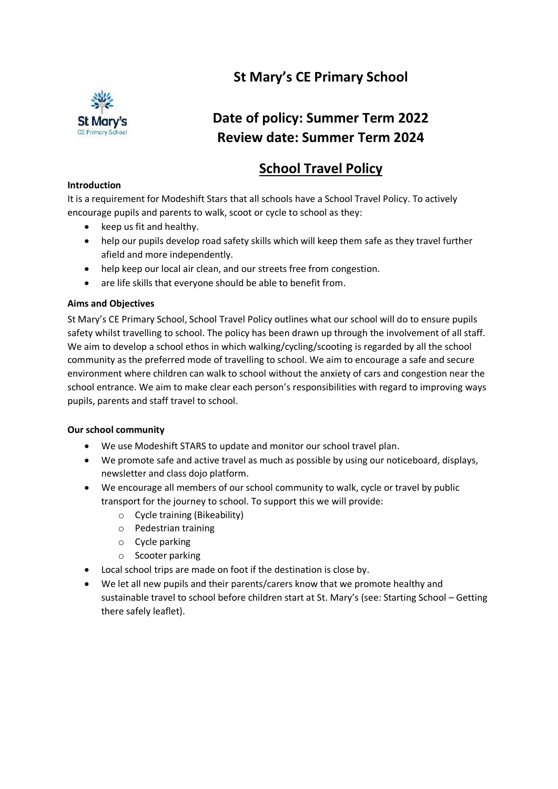# **St Mary's CE Primary School**



# **Date of policy: Summer Term 2022 Review date: Summer Term 2024**

## **School Travel Policy**

#### **Introduction**

It is a requirement for Modeshift Stars that all schools have a School Travel Policy. To actively encourage pupils and parents to walk, scoot or cycle to school as they:

- $\bullet$  keep us fit and healthy.
- help our pupils develop road safety skills which will keep them safe as they travel further afield and more independently.
- help keep our local air clean, and our streets free from congestion.
- are life skills that everyone should be able to benefit from.

### **Aims and Objectives**

St Mary's CE Primary School, School Travel Policy outlines what our school will do to ensure pupils safety whilst travelling to school. The policy has been drawn up through the involvement of all staff. We aim to develop a school ethos in which walking/cycling/scooting is regarded by all the school community as the preferred mode of travelling to school. We aim to encourage a safe and secure environment where children can walk to school without the anxiety of cars and congestion near the school entrance. We aim to make clear each person's responsibilities with regard to improving ways pupils, parents and staff travel to school.

### **Our school community**

- We use Modeshift STARS to update and monitor our school travel plan.
- We promote safe and active travel as much as possible by using our noticeboard, displays, newsletter and class dojo platform.
- We encourage all members of our school community to walk, cycle or travel by public transport for the journey to school. To support this we will provide:
	- o Cycle training (Bikeability)
	- o Pedestrian training
	- o Cycle parking
	- o Scooter parking
- Local school trips are made on foot if the destination is close by.
- We let all new pupils and their parents/carers know that we promote healthy and sustainable travel to school before children start at St. Mary's (see: Starting School – Getting there safely leaflet).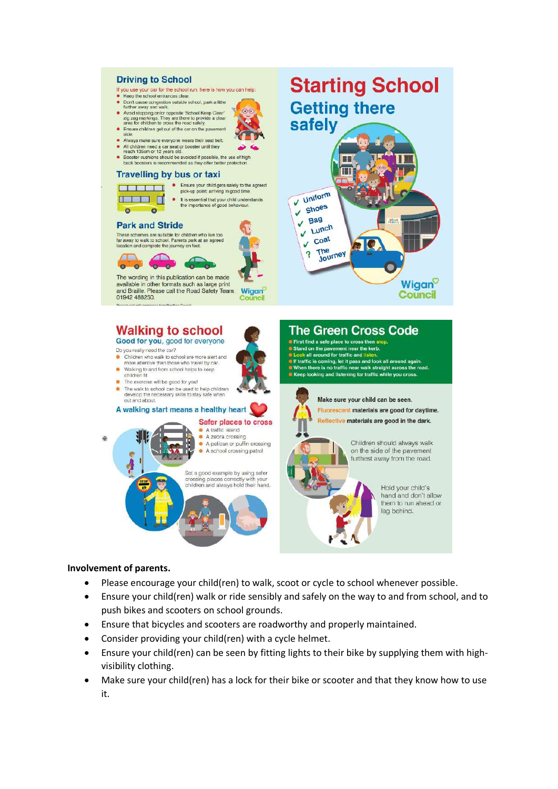#### **Driving to School Starting School** If you use your car for the school run, here is how you can help: Keep the school entrances clear. Don't cause congestion outside school, park a little<br>further away and walk. **Getting there** further away and walk.<br>Avoid stopping on/or opposite 'School Keep Clear'<br>zig zag markings. They are there to provide a clear<br>area for children to cross the road safely.<br>Ensure children get out of the car on the pavement  $\overline{\mathbf{O}}$ safely Always make sure everyone wears their seat belt. All children need a car seat or booster until they<br>reach 135cm or 12 years old.<br>Booster cushions should be avoided if possible, the use of high  $\bullet$ **Ba** ĪШ **Travelling by bus or taxi** Experience of the Ensure your child gets safely to the agreed pick-up point; arriving in good time Uniform **THE REA** • It is essential that your child understands<br>the importance of good behaviour.  $\overline{U}$ Shoes  $\bullet$  $\bullet$ **Bag** V Lunch **Park and Stride** These schemes are suitable for children who live too<br>far away to walk to school. Parents park at an agreed coat J b I Q location and complete the journey on foot.  $?$  The The<br>Journey ◠  $\circ$   $\circ$ The wording in this publication can be made available in other formats such as large print Wigan and Braille. Please call the Road Safety Team: Wiggn **Council** 01942 488250 **Walking to school The Green Cross Code** Good for you, good for everyone **•** First find a safe place to cross then stop. Stand on the pavement near the kerb.<br>• Look all around for traffic and listen. Do you really need the car? • Children who walk to school are more alert and<br>more attentive than those who travel by car. If traffic is coming, let it pass and look all around again.<br>If When there is no traffic near walk straight across the road.<br>If Keep looking and listening for traffic while you cross. • Walking to and from school helps to keep<br>children fit. • The exercise will be good for you! The walk to school can be used to help children<br>develop the necessary skills to stay safe when<br>out and about. Make sure your child can be seen. Fluorescent materials are good for daytime. A walking start means a healthy heart Reflective materials are good in the dark. Safer places to cross A traffic island





hand and don't allow them to run ahead or lag behind.

#### **Involvement of parents.**

- Please encourage your child(ren) to walk, scoot or cycle to school whenever possible.
- Ensure your child(ren) walk or ride sensibly and safely on the way to and from school, and to push bikes and scooters on school grounds.
- Ensure that bicycles and scooters are roadworthy and properly maintained.
- Consider providing your child(ren) with a cycle helmet.
- Ensure your child(ren) can be seen by fitting lights to their bike by supplying them with highvisibility clothing.
- Make sure your child(ren) has a lock for their bike or scooter and that they know how to use it.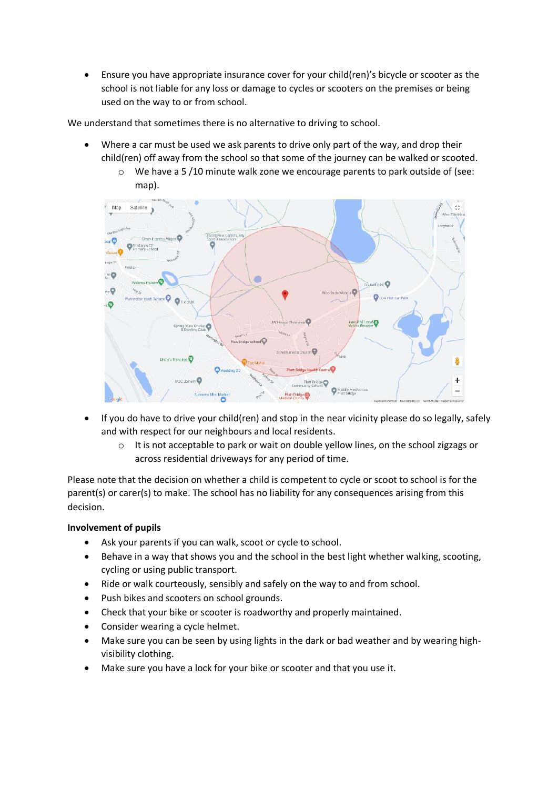Ensure you have appropriate insurance cover for your child(ren)'s bicycle or scooter as the school is not liable for any loss or damage to cycles or scooters on the premises or being used on the way to or from school.

We understand that sometimes there is no alternative to driving to school.

- Where a car must be used we ask parents to drive only part of the way, and drop their child(ren) off away from the school so that some of the journey can be walked or scooted.
	- o We have a 5 /10 minute walk zone we encourage parents to park outside of (see: map).



- If you do have to drive your child(ren) and stop in the near vicinity please do so legally, safely and with respect for our neighbours and local residents.
	- o It is not acceptable to park or wait on double yellow lines, on the school zigzags or across residential driveways for any period of time.

Please note that the decision on whether a child is competent to cycle or scoot to school is for the parent(s) or carer(s) to make. The school has no liability for any consequences arising from this decision.

### **Involvement of pupils**

- Ask your parents if you can walk, scoot or cycle to school.
- Behave in a way that shows you and the school in the best light whether walking, scooting, cycling or using public transport.
- Ride or walk courteously, sensibly and safely on the way to and from school.
- Push bikes and scooters on school grounds.
- Check that your bike or scooter is roadworthy and properly maintained.
- Consider wearing a cycle helmet.
- Make sure you can be seen by using lights in the dark or bad weather and by wearing highvisibility clothing.
- Make sure you have a lock for your bike or scooter and that you use it.